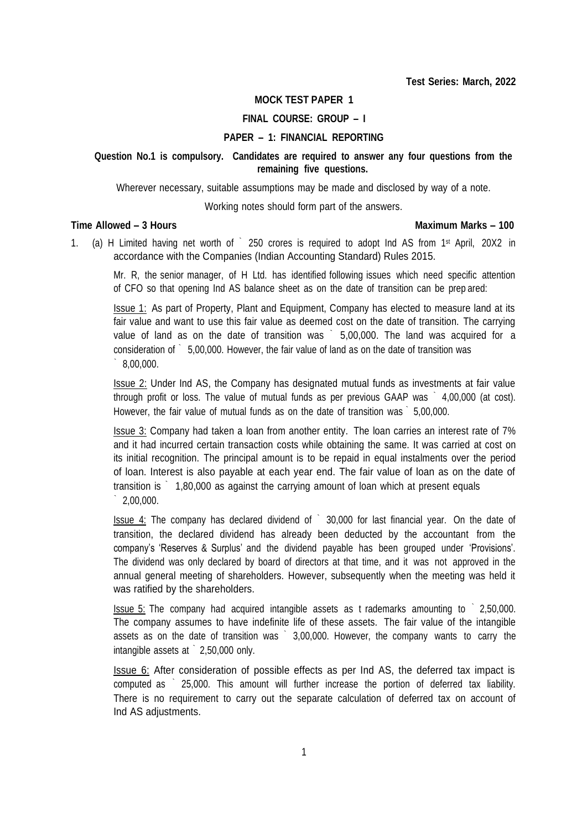#### **MOCK TEST PAPER 1**

#### **FINAL COURSE: GROUP – I**

#### **PAPER – 1: FINANCIAL REPORTING**

#### **Question No.1 is compulsory. Candidates are required to answer any four questions from the remaining five questions.**

Wherever necessary, suitable assumptions may be made and disclosed by way of a note.

Working notes should form part of the answers.

#### **Time Allowed – 3 Hours Maximum Marks – 100**

1. (a) H Limited having net worth of ` 250 crores is required to adopt Ind AS from 1st April, 20X2 in accordance with the Companies (Indian Accounting Standard) Rules 2015.

Mr. R, the senior manager, of H Ltd. has identified following issues which need specific attention of CFO so that opening Ind AS balance sheet as on the date of transition can be prep ared:

Issue 1: As part of Property, Plant and Equipment, Company has elected to measure land at its fair value and want to use this fair value as deemed cost on the date of transition. The carrying value of land as on the date of transition was ` 5,00,000. The land was acquired for a consideration of ` 5,00,000. However, the fair value of land as on the date of transition was ` 8,00,000.

Issue 2: Under Ind AS, the Company has designated mutual funds as investments at fair value through profit or loss. The value of mutual funds as per previous GAAP was ` 4,00,000 (at cost). However, the fair value of mutual funds as on the date of transition was ` 5,00,000.

Issue 3: Company had taken a loan from another entity. The loan carries an interest rate of 7% and it had incurred certain transaction costs while obtaining the same. It was carried at cost on its initial recognition. The principal amount is to be repaid in equal instalments over the period of loan. Interest is also payable at each year end. The fair value of loan as on the date of transition is ` 1,80,000 as against the carrying amount of loan which at present equals ` 2,00,000.

**Issue 4:** The company has declared dividend of  $\degree$  30,000 for last financial year. On the date of transition, the declared dividend has already been deducted by the accountant from the company's 'Reserves & Surplus' and the dividend payable has been grouped under 'Provisions'. The dividend was only declared by board of directors at that time, and it was not approved in the annual general meeting of shareholders. However, subsequently when the meeting was held it was ratified by the shareholders.

Issue 5: The company had acquired intangible assets as t rademarks amounting to ` 2,50,000. The company assumes to have indefinite life of these assets. The fair value of the intangible assets as on the date of transition was ` 3,00,000. However, the company wants to carry the intangible assets at ` 2,50,000 only.

**ISSUE 6:** After consideration of possible effects as per Ind AS, the deferred tax impact is computed as ` 25,000. This amount will further increase the portion of deferred tax liability. There is no requirement to carry out the separate calculation of deferred tax on account of Ind AS adjustments.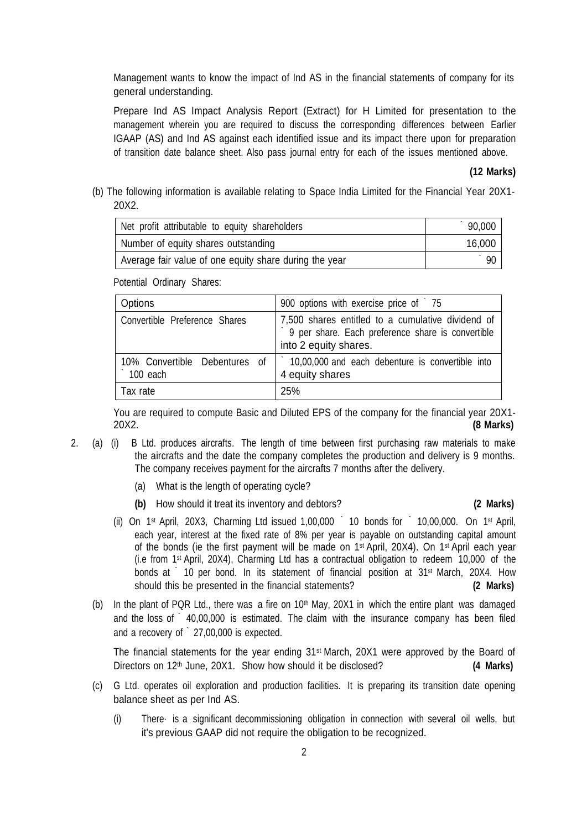Management wants to know the impact of Ind AS in the financial statements of company for its general understanding.

Prepare Ind AS Impact Analysis Report (Extract) for H Limited for presentation to the management wherein you are required to discuss the corresponding differences between Earlier IGAAP (AS) and Ind AS against each identified issue and its impact there upon for preparation of transition date balance sheet. Also pass journal entry for each of the issues mentioned above.

#### **(12 Marks)**

(b) The following information is available relating to Space India Limited for the Financial Year 20X1- 20X2.

| Net profit attributable to equity shareholders         | 90,000 |
|--------------------------------------------------------|--------|
| Number of equity shares outstanding                    | 16,000 |
| Average fair value of one equity share during the year | 90     |

Potential Ordinary Shares:

| Options                                   | 900 options with exercise price of 75                                                                                           |
|-------------------------------------------|---------------------------------------------------------------------------------------------------------------------------------|
| Convertible Preference Shares             | 7,500 shares entitled to a cumulative dividend of<br>9 per share. Each preference share is convertible<br>into 2 equity shares. |
| 10% Convertible Debentures of<br>100 each | 10,00,000 and each debenture is convertible into<br>4 equity shares                                                             |
| Tax rate                                  | 25%                                                                                                                             |

You are required to compute Basic and Diluted EPS of the company for the financial year 20X1- 20X2. **(8 Marks)**

- 2. (a) (i) B Ltd. produces aircrafts. The length of time between first purchasing raw materials to make the aircrafts and the date the company completes the production and delivery is 9 months. The company receives payment for the aircrafts 7 months after the delivery.
	- (a) What is the length of operating cycle?
	- **(b)** How should it treat its inventory and debtors? **(2 Marks)**

- (ii) On  $1^{st}$  April, 20X3, Charming Ltd issued 1,00,000  $\degree$  10 bonds for  $\degree$  10,00,000. On  $1^{st}$  April, each year, interest at the fixed rate of 8% per year is payable on outstanding capital amount of the bonds (ie the first payment will be made on 1st April, 20X4). On 1st April each year (i.e from 1st April, 20X4), Charming Ltd has a contractual obligation to redeem 10,000 of the bonds at ` 10 per bond. In its statement of financial position at 31<sup>st</sup> March, 20X4. How should this be presented in the financial statements? **(2 Marks)**
- (b) In the plant of PQR Ltd., there was a fire on  $10<sup>th</sup>$  May, 20X1 in which the entire plant was damaged and the loss of  $\degree$  40,00,000 is estimated. The claim with the insurance company has been filed and a recovery of ` 27,00,000 is expected.

The financial statements for the year ending  $31<sup>st</sup>$  March, 20X1 were approved by the Board of Directors on 12th June, 20X1. Show how should it be disclosed? **(4 Marks)**

- (c) G Ltd. operates oil exploration and production facilities. It is preparing its transition date opening balance sheet as per Ind AS.
	- (i) There· is a significant decommissioning obligation in connection with several oil wells, but it's previous GAAP did not require the obligation to be recognized.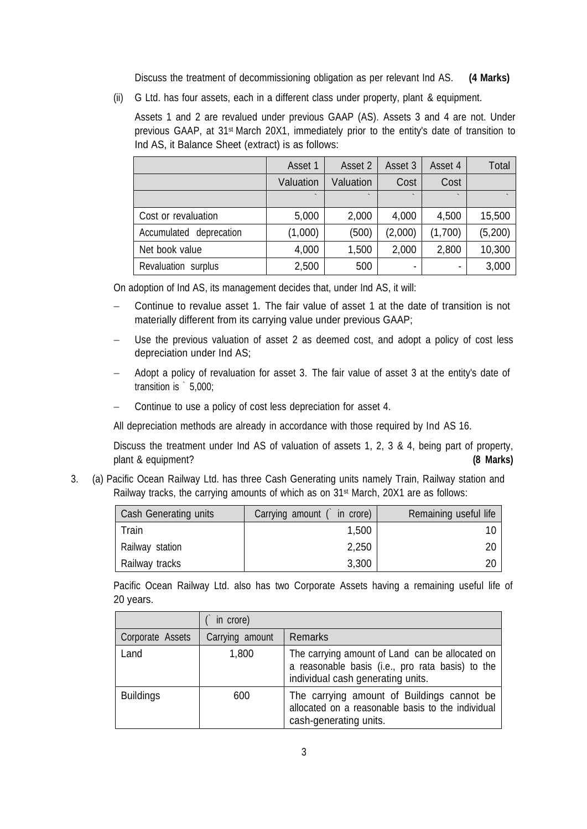Discuss the treatment of decommissioning obligation as per relevant Ind AS. **(4 Marks)**

(ii) G Ltd. has four assets, each in a different class under property, plant & equipment.

Assets 1 and 2 are revalued under previous GAAP (AS). Assets 3 and 4 are not. Under previous GAAP, at 31st March 20X1, immediately prior to the entity's date of transition to Ind AS, it Balance Sheet (extract) is as follows:

|                         | Asset 1                  | Asset 2                  | Asset 3                  | Asset 4                  | Total   |
|-------------------------|--------------------------|--------------------------|--------------------------|--------------------------|---------|
|                         | Valuation                | Valuation                | Cost                     | Cost                     |         |
|                         | $\overline{\phantom{0}}$ | $\overline{\phantom{0}}$ | $\overline{\phantom{0}}$ | $\overline{\phantom{0}}$ |         |
| Cost or revaluation     | 5,000                    | 2,000                    | 4,000                    | 4,500                    | 15,500  |
| Accumulated deprecation | (1,000)                  | (500)                    | (2,000)                  | (1,700)                  | (5,200) |
| Net book value          | 4,000                    | 1,500                    | 2,000                    | 2,800                    | 10,300  |
| Revaluation surplus     | 2,500                    | 500                      | ٠                        |                          | 3,000   |

On adoption of Ind AS, its management decides that, under Ind AS, it will:

- Continue to revalue asset 1. The fair value of asset 1 at the date of transition is not materially different from its carrying value under previous GAAP;
- Use the previous valuation of asset 2 as deemed cost, and adopt a policy of cost less depreciation under Ind AS;
- Adopt a policy of revaluation for asset 3. The fair value of asset 3 at the entity's date of transition is ` 5,000;
- Continue to use a policy of cost less depreciation for asset 4.

All depreciation methods are already in accordance with those required by Ind AS 16.

Discuss the treatment under Ind AS of valuation of assets 1, 2, 3 & 4, being part of property, plant & equipment? **(8 Marks)**

3. (a) Pacific Ocean Railway Ltd. has three Cash Generating units namely Train, Railway station and Railway tracks, the carrying amounts of which as on 31st March, 20X1 are as follows:

| Cash Generating units | Carrying amount ( in crore) | Remaining useful life |
|-----------------------|-----------------------------|-----------------------|
| Train                 | 1,500                       | 10                    |
| Railway station       | 2,250                       | 20                    |
| Railway tracks        | 3,300                       | 20                    |

Pacific Ocean Railway Ltd. also has two Corporate Assets having a remaining useful life of 20 years.

|                  | in crore)       |                                                                                                                                          |
|------------------|-----------------|------------------------------------------------------------------------------------------------------------------------------------------|
| Corporate Assets | Carrying amount | Remarks                                                                                                                                  |
| Land             | 1,800           | The carrying amount of Land can be allocated on<br>a reasonable basis (i.e., pro rata basis) to the<br>individual cash generating units. |
| <b>Buildings</b> | 600             | The carrying amount of Buildings cannot be<br>allocated on a reasonable basis to the individual<br>cash-generating units.                |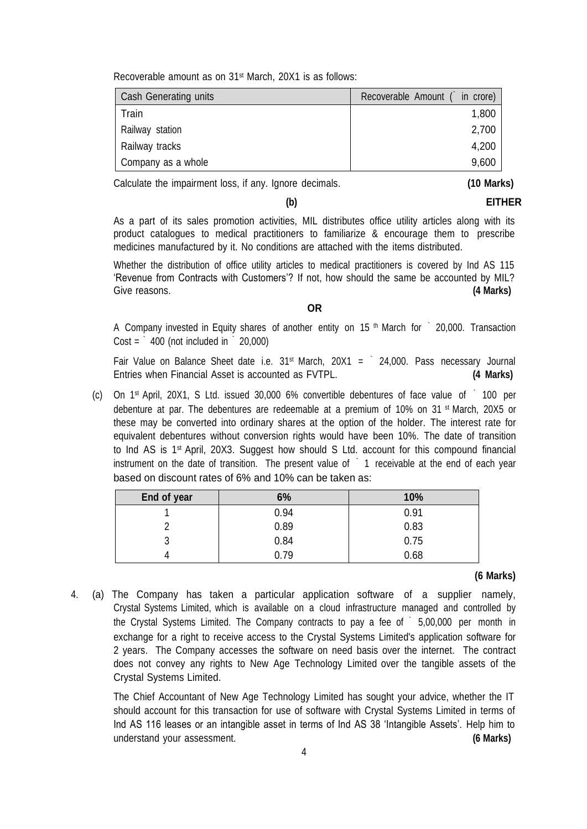Recoverable amount as on 31st March, 20X1 is as follows:

| Cash Generating units | Recoverable Amount ( in crore) |
|-----------------------|--------------------------------|
| Train                 | 1,800                          |
| Railway station       | 2,700                          |
| Railway tracks        | 4,200                          |
| Company as a whole    | 9,600                          |

Calculate the impairment loss, if any. Ignore decimals. **(10 Marks)**

**(b) EITHER**

As a part of its sales promotion activities, MIL distributes office utility articles along with its product catalogues to medical practitioners to familiarize & encourage them to prescribe medicines manufactured by it. No conditions are attached with the items distributed.

Whether the distribution of office utility articles to medical practitioners is covered by Ind AS 115 'Revenue from Contracts with Customers'? If not, how should the same be accounted by MIL? Give reasons. **(4 Marks)**

**OR**

A Company invested in Equity shares of another entity on 15<sup>th</sup> March for  $\degree$  20,000. Transaction  $Cost = \n\begin{bmatrix}\n1 & 400 & \text{not included in} \\
0 & 20,000\n\end{bmatrix}$ 

Fair Value on Balance Sheet date i.e.  $31^{st}$  March,  $20X1 = 24,000$ . Pass necessary Journal Entries when Financial Asset is accounted as FVTPL. **(4 Marks)**

(c) On 1st April, 20X1, S Ltd. issued 30,000 6% convertible debentures of face value of ` 100 per debenture at par. The debentures are redeemable at a premium of 10% on 31  $st$  March, 20X5 or these may be converted into ordinary shares at the option of the holder. The interest rate for equivalent debentures without conversion rights would have been 10%. The date of transition to Ind AS is 1st April, 20X3. Suggest how should S Ltd. account for this compound financial instrument on the date of transition. The present value of 1 receivable at the end of each year based on discount rates of 6% and 10% can be taken as:

| End of year | 6%   | 10%  |
|-------------|------|------|
|             | 0.94 | 0.91 |
|             | 0.89 | 0.83 |
| ື           | 0.84 | 0.75 |
|             | 0.79 | 0.68 |

## **(6 Marks)**

4. (a) The Company has taken a particular application software of a supplier namely, Crystal Systems Limited, which is available on a cloud infrastructure managed and controlled by the Crystal Systems Limited. The Company contracts to pay a fee of ` 5,00,000 per month in exchange for a right to receive access to the Crystal Systems Limited's application software for 2 years. The Company accesses the software on need basis over the internet. The contract does not convey any rights to New Age Technology Limited over the tangible assets of the Crystal Systems Limited.

The Chief Accountant of New Age Technology Limited has sought your advice, whether the IT should account for this transaction for use of software with Crystal Systems Limited in terms of Ind AS 116 leases or an intangible asset in terms of Ind AS 38 'Intangible Assets'. Help him to understand your assessment. **(6 Marks)**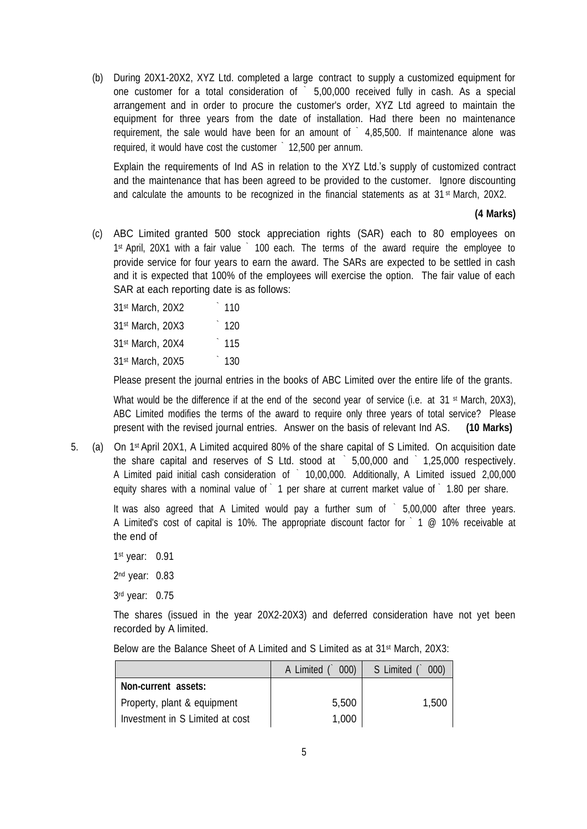(b) During 20X1-20X2, XYZ Ltd. completed a large contract to supply a customized equipment for one customer for a total consideration of ` 5,00,000 received fully in cash. As a special arrangement and in order to procure the customer's order, XYZ Ltd agreed to maintain the equipment for three years from the date of installation. Had there been no maintenance requirement, the sale would have been for an amount of  $\degree$  4,85,500. If maintenance alone was required, it would have cost the customer ` 12,500 per annum.

Explain the requirements of Ind AS in relation to the XYZ Ltd.'s supply of customized contract and the maintenance that has been agreed to be provided to the customer. Ignore discounting and calculate the amounts to be recognized in the financial statements as at  $31^{st}$  March, 20X2.

#### **(4 Marks)**

(c) ABC Limited granted 500 stock appreciation rights (SAR) each to 80 employees on 1st April, 20X1 with a fair value ` 100 each. The terms of the award require the employee to provide service for four years to earn the award. The SARs are expected to be settled in cash and it is expected that 100% of the employees will exercise the option. The fair value of each SAR at each reporting date is as follows:

| 31 <sup>st</sup> March, 20X2 | 110 |
|------------------------------|-----|
| 31st March, 20X3             | 120 |
| 31 <sup>st</sup> March, 20X4 | 115 |
| 31 <sup>st</sup> March, 20X5 | 130 |

Please present the journal entries in the books of ABC Limited over the entire life of the grants.

What would be the difference if at the end of the second year of service (i.e. at 31  $\text{st}$  March, 20X3), ABC Limited modifies the terms of the award to require only three years of total service? Please present with the revised journal entries. Answer on the basis of relevant Ind AS. **(10 Marks)**

5. (a) On 1st April 20X1, A Limited acquired 80% of the share capital of S Limited. On acquisition date the share capital and reserves of S Ltd. stood at ` 5,00,000 and ` 1,25,000 respectively. A Limited paid initial cash consideration of ` 10,00,000. Additionally, A Limited issued 2,00,000 equity shares with a nominal value of 1 per share at current market value of 1.80 per share.

It was also agreed that A Limited would pay a further sum of  $\degree$  5,00,000 after three years. A Limited's cost of capital is 10%. The appropriate discount factor for 1 @ 10% receivable at the end of

1st year: 0.91

2nd year: 0.83

3rd year: 0.75

The shares (issued in the year 20X2-20X3) and deferred consideration have not yet been recorded by A limited.

| Below are the Balance Sheet of A Limited and S Limited as at 31 <sup>st</sup> March, 20X3: |  |
|--------------------------------------------------------------------------------------------|--|
|--------------------------------------------------------------------------------------------|--|

|                                 | A Limited $($ 000) | S Limited (<br>000) |
|---------------------------------|--------------------|---------------------|
| Non-current assets:             |                    |                     |
| Property, plant & equipment     | 5,500              | 1.500               |
| Investment in S Limited at cost | 1,000              |                     |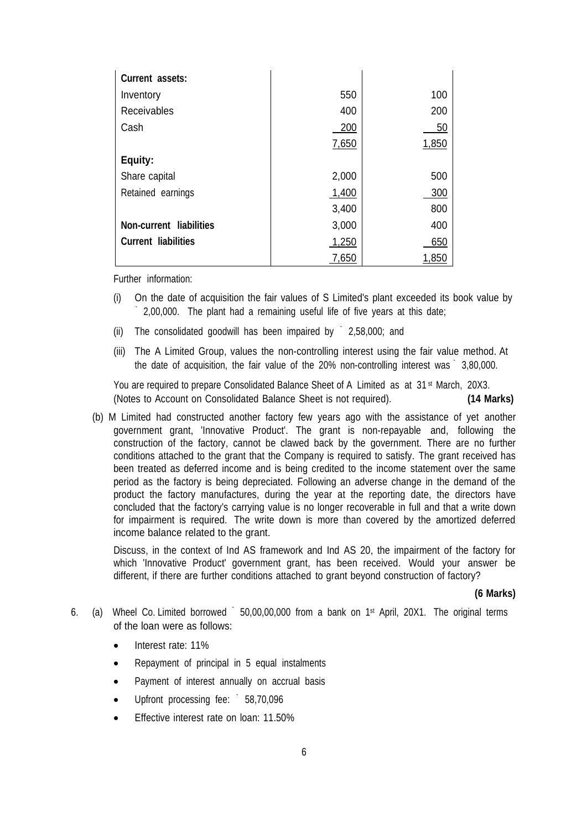| <b>Current assets:</b>     |       |       |
|----------------------------|-------|-------|
| Inventory                  | 550   | 100   |
| Receivables                | 400   | 200   |
| Cash                       | 200   | 50    |
|                            | 7,650 | 1,850 |
| Equity:                    |       |       |
| Share capital              | 2,000 | 500   |
| Retained earnings          | 1,400 | 300   |
|                            | 3,400 | 800   |
| Non-current liabilities    | 3,000 | 400   |
| <b>Current liabilities</b> | 1,250 | 650   |
|                            | 7,650 | 1,850 |

Further information:

- (i) On the date of acquisition the fair values of S Limited's plant exceeded its book value by ` 2,00,000. The plant had a remaining useful life of five years at this date;
- (ii) The consolidated goodwill has been impaired by ` 2,58,000; and
- (iii) The A Limited Group, values the non-controlling interest using the fair value method. At the date of acquisition, the fair value of the 20% non-controlling interest was ` 3,80,000.

You are required to prepare Consolidated Balance Sheet of A Limited as at 31<sup>st</sup> March, 20X3. (Notes to Account on Consolidated Balance Sheet is not required). **(14 Marks)**

(b) M Limited had constructed another factory few years ago with the assistance of yet another government grant, 'Innovative Product'. The grant is non-repayable and, following the construction of the factory, cannot be clawed back by the government. There are no further conditions attached to the grant that the Company is required to satisfy. The grant received has been treated as deferred income and is being credited to the income statement over the same period as the factory is being depreciated. Following an adverse change in the demand of the product the factory manufactures, during the year at the reporting date, the directors have concluded that the factory's carrying value is no longer recoverable in full and that a write down for impairment is required. The write down is more than covered by the amortized deferred income balance related to the grant.

Discuss, in the context of Ind AS framework and Ind AS 20, the impairment of the factory for which 'Innovative Product' government grant, has been received. Would your answer be different, if there are further conditions attached to grant beyond construction of factory?

#### **(6 Marks)**

- 6. (a) Wheel Co. Limited borrowed ` 50,00,00,000 from a bank on 1st April, 20X1. The original terms of the loan were as follows:
	- Interest rate: 11%
	- Repayment of principal in 5 equal instalments
	- Payment of interest annually on accrual basis
	- Upfront processing fee: ` 58,70,096
	- Effective interest rate on loan: 11.50%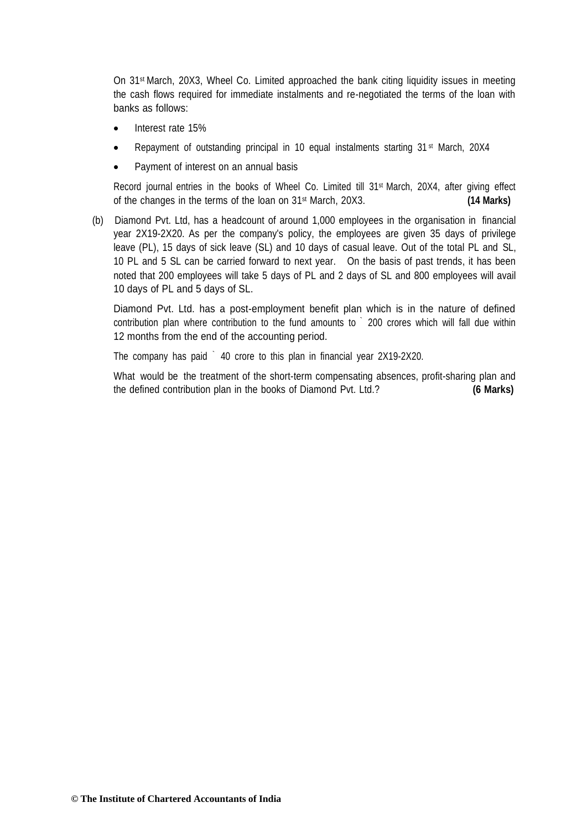On 31st March, 20X3, Wheel Co. Limited approached the bank citing liquidity issues in meeting the cash flows required for immediate instalments and re-negotiated the terms of the loan with banks as follows:

- Interest rate 15%
- Repayment of outstanding principal in 10 equal instalments starting 31<sup>st</sup> March, 20X4
- Payment of interest on an annual basis

Record journal entries in the books of Wheel Co. Limited till 31<sup>st</sup> March, 20X4, after giving effect of the changes in the terms of the loan on 31st March, 20X3. **(14 Marks)**

(b) Diamond Pvt. Ltd, has a headcount of around 1,000 employees in the organisation in financial year 2X19-2X20. As per the company's policy, the employees are given 35 days of privilege leave (PL), 15 days of sick leave (SL) and 10 days of casual leave. Out of the total PL and SL, 10 PL and 5 SL can be carried forward to next year. On the basis of past trends, it has been noted that 200 employees will take 5 days of PL and 2 days of SL and 800 employees will avail 10 days of PL and 5 days of SL.

Diamond Pvt. Ltd. has a post-employment benefit plan which is in the nature of defined contribution plan where contribution to the fund amounts to ` 200 crores which will fall due within 12 months from the end of the accounting period.

The company has paid ` 40 crore to this plan in financial year 2X19-2X20.

What would be the treatment of the short-term compensating absences, profit-sharing plan and the defined contribution plan in the books of Diamond Pvt. Ltd.? **(6 Marks)**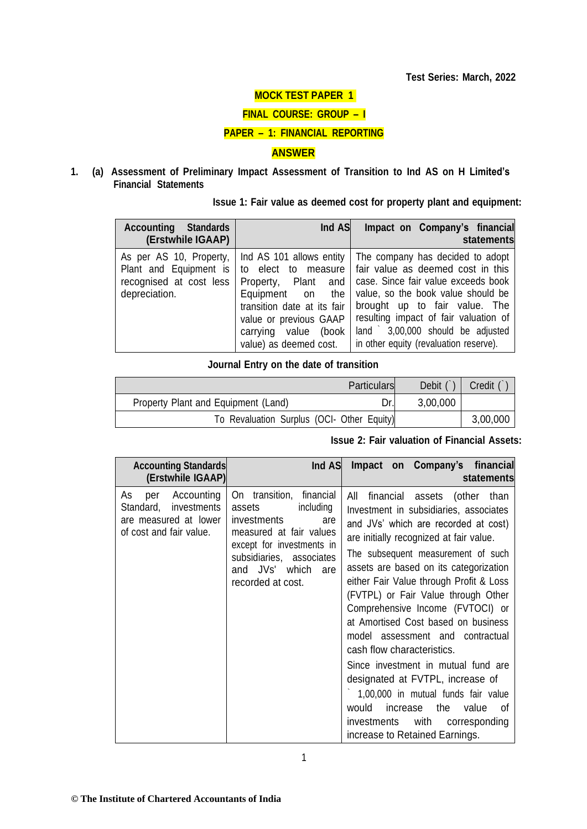# **MOCK TEST PAPER 1**

#### **FINAL COURSE: GROUP – I**

#### **PAPER – 1: FINANCIAL REPORTING**

### **ANSWER**

**1. (a) Assessment of Preliminary Impact Assessment of Transition to Ind AS on H Limited's Financial Statements**

#### **Issue 1: Fair value as deemed cost for property plant and equipment:**

| <b>Accounting</b><br><b>Standards</b><br>(Erstwhile IGAAP)                                    | Ind AS                                                                                                                                                                                                   | Impact on Company's financial<br>statements                                                                                                                                                                                                                                                                |
|-----------------------------------------------------------------------------------------------|----------------------------------------------------------------------------------------------------------------------------------------------------------------------------------------------------------|------------------------------------------------------------------------------------------------------------------------------------------------------------------------------------------------------------------------------------------------------------------------------------------------------------|
| As per AS 10, Property,<br>Plant and Equipment is<br>recognised at cost less<br>depreciation. | Ind AS 101 allows entity<br>to elect to measure<br>Property, Plant and<br>Equipment on<br>the<br>transition date at its fair<br>value or previous GAAP<br>carrying value (book<br>value) as deemed cost. | The company has decided to adopt<br>fair value as deemed cost in this<br>case. Since fair value exceeds book<br>value, so the book value should be<br>brought up to fair value. The<br>resulting impact of fair valuation of<br>land 3,00,000 should be adjusted<br>in other equity (revaluation reserve). |

## **Journal Entry on the date of transition**

|                                            | <b>Particulars</b> | Debit (  | <b>Credit</b> |
|--------------------------------------------|--------------------|----------|---------------|
| Property Plant and Equipment (Land)        |                    | 3,00,000 |               |
| To Revaluation Surplus (OCI- Other Equity) |                    |          | 3,00,000      |

#### **Issue 2: Fair valuation of Financial Assets:**

| <b>Accounting Standards</b><br>(Erstwhile IGAAP)                                                        | Ind AS                                                                                                                                                                                                     | Impact on Company's financial<br>statements                                                                                                                                                                                                                                                                                                                                                                                                                                                                                                                                                                                                                                                                      |
|---------------------------------------------------------------------------------------------------------|------------------------------------------------------------------------------------------------------------------------------------------------------------------------------------------------------------|------------------------------------------------------------------------------------------------------------------------------------------------------------------------------------------------------------------------------------------------------------------------------------------------------------------------------------------------------------------------------------------------------------------------------------------------------------------------------------------------------------------------------------------------------------------------------------------------------------------------------------------------------------------------------------------------------------------|
| Accounting<br>As<br>per<br>Standard,<br>investments<br>are measured at lower<br>of cost and fair value. | On transition, financial<br>assets<br>including<br>investments<br>are<br>measured at fair values<br>except for investments in<br>subsidiaries, associates<br>JVs' which<br>and<br>are<br>recorded at cost. | financial assets (other than<br>aii<br>Investment in subsidiaries, associates<br>and JVs' which are recorded at cost)<br>are initially recognized at fair value.<br>The subsequent measurement of such<br>assets are based on its categorization<br>either Fair Value through Profit & Loss<br>(FVTPL) or Fair Value through Other<br>Comprehensive Income (FVTOCI) or<br>at Amortised Cost based on business<br>model assessment and contractual<br>cash flow characteristics.<br>Since investment in mutual fund are<br>designated at FVTPL, increase of<br>1,00,000 in mutual funds fair value<br>would<br>increase<br>the<br>value<br>Ωt<br>investments with corresponding<br>increase to Retained Earnings. |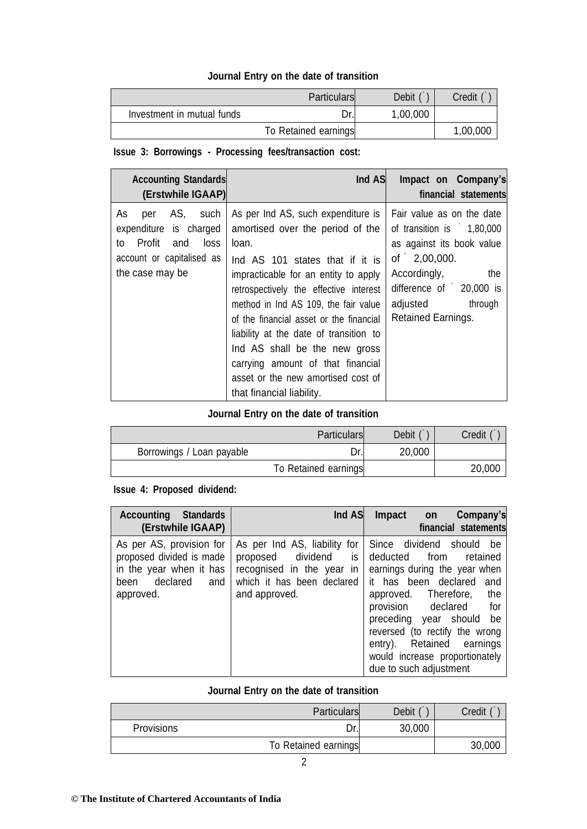## **Journal Entry on the date of transition**

|                            | <b>Particulars</b>   | Debit    | Credit   |
|----------------------------|----------------------|----------|----------|
| Investment in mutual funds | Dr.                  | 1,00,000 |          |
|                            | To Retained earnings |          | 1,00,000 |

# **Issue 3: Borrowings - Processing fees/transaction cost:**

| <b>Accounting Standards</b><br>(Erstwhile IGAAP)                                                                               | Ind AS                                                                                                                                                                                                                                                                                                                                                                                                                                                                     | Impact on Company's<br>financial statements                                                                                                                                                               |
|--------------------------------------------------------------------------------------------------------------------------------|----------------------------------------------------------------------------------------------------------------------------------------------------------------------------------------------------------------------------------------------------------------------------------------------------------------------------------------------------------------------------------------------------------------------------------------------------------------------------|-----------------------------------------------------------------------------------------------------------------------------------------------------------------------------------------------------------|
| As<br>AS, such<br>per<br>expenditure is charged<br>Profit<br>loss<br>and<br>to<br>account or capitalised as<br>the case may be | As per Ind AS, such expenditure is<br>amortised over the period of the<br>loan.<br>Ind AS 101 states that if it is<br>impracticable for an entity to apply<br>retrospectively the effective interest<br>method in Ind AS 109, the fair value<br>of the financial asset or the financial<br>liability at the date of transition to<br>Ind AS shall be the new gross<br>carrying amount of that financial<br>asset or the new amortised cost of<br>that financial liability. | Fair value as on the date<br>of transition is $1,80,000$<br>as against its book value<br>of $2,00,000$ .<br>Accordingly,<br>the<br>difference of $20,000$ is<br>through<br>adjusted<br>Retained Earnings. |

# **Journal Entry on the date of transition**

|                           | <b>Particulars</b>   | Debit ( | Credit |
|---------------------------|----------------------|---------|--------|
| Borrowings / Loan payable | Dr.l                 | 20,000  |        |
|                           | To Retained earnings |         | 20,000 |

## **Issue 4: Proposed dividend:**

| <b>Accounting Standards</b><br>(Erstwhile IGAAP)                                                                        | Ind AS                                                                                                                           | Company's<br>Impact on<br>financial statements                                                                                                                                                                                                                                                                                                 |
|-------------------------------------------------------------------------------------------------------------------------|----------------------------------------------------------------------------------------------------------------------------------|------------------------------------------------------------------------------------------------------------------------------------------------------------------------------------------------------------------------------------------------------------------------------------------------------------------------------------------------|
| As per AS, provision for<br>proposed divided is made<br>in the year when it has<br>declared<br>and<br>been<br>approved. | As per Ind AS, liability for<br>proposed dividend is<br>recognised in the year in<br>which it has been declared<br>and approved. | Since dividend should<br>be<br>deducted from<br>retained<br>earnings during the year when<br>it has been declared<br>and<br>approved. Therefore,<br>the<br>provision declared<br>for<br>preceding year should<br>be<br>reversed (to rectify the wrong<br>entry). Retained earnings<br>would increase proportionately<br>due to such adjustment |

# **Journal Entry on the date of transition**

|                   | <b>Particulars</b>   | Debit  | Credit |
|-------------------|----------------------|--------|--------|
| <b>Provisions</b> | Dr.l                 | 30,000 |        |
|                   | To Retained earnings |        | 30,000 |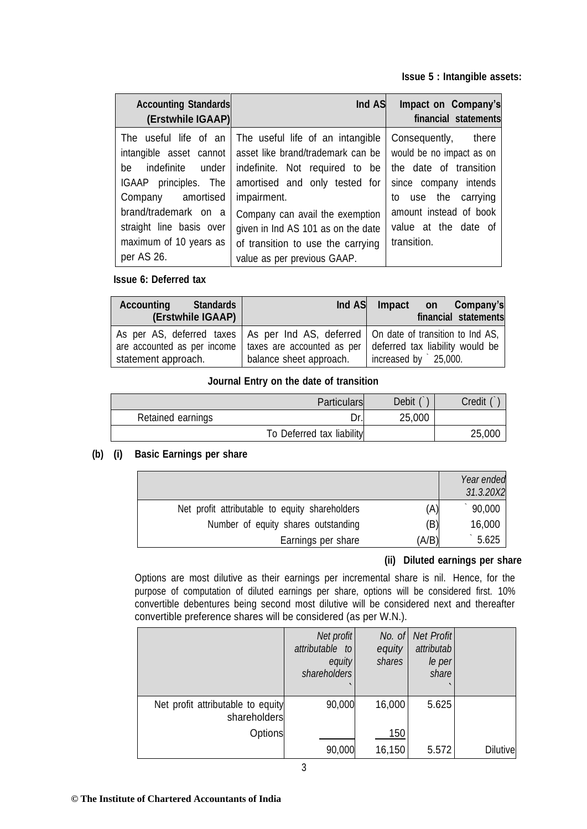**Issue 5 : Intangible assets:**

| <b>Accounting Standards</b><br>(Erstwhile IGAAP)                                                                                                                                                    | Ind AS                                                                                                                                                                                                                                                                                                                  | Impact on Company's<br>financial statements                                                                                                                                                   |
|-----------------------------------------------------------------------------------------------------------------------------------------------------------------------------------------------------|-------------------------------------------------------------------------------------------------------------------------------------------------------------------------------------------------------------------------------------------------------------------------------------------------------------------------|-----------------------------------------------------------------------------------------------------------------------------------------------------------------------------------------------|
| The useful life of an<br>intangible asset cannot<br>be<br>IGAAP principles. The<br>amortised<br>Company<br>brand/trademark on a<br>straight line basis over<br>maximum of 10 years as<br>per AS 26. | The useful life of an intangible<br>asset like brand/trademark can be<br>indefinite under   indefinite. Not required to be<br>amortised and only tested for<br>impairment.<br>Company can avail the exemption<br>given in Ind AS 101 as on the date<br>of transition to use the carrying<br>value as per previous GAAP. | Consequently, there<br>would be no impact as on<br>the date of transition<br>since company intends<br>use the carrying<br>to<br>amount instead of book<br>value at the date of<br>transition. |

#### **Issue 6: Deferred tax**

| <b>Accounting</b><br><b>Standards</b><br>(Erstwhile IGAAP) | Ind AS                  | Company's<br>Impact on<br>financial statements                                                                                                                                                               |
|------------------------------------------------------------|-------------------------|--------------------------------------------------------------------------------------------------------------------------------------------------------------------------------------------------------------|
| statement approach.                                        | balance sheet approach. | As per AS, deferred taxes   As per Ind AS, deferred   On date of transition to Ind AS,<br>are accounted as per income   taxes are accounted as per   deferred tax liability would be<br>increased by 25,000. |

#### **Journal Entry on the date of transition**

|                   | <b>Particulars</b>        | Debit  | Credit |
|-------------------|---------------------------|--------|--------|
| Retained earnings | Dr.                       | 25,000 |        |
|                   | To Deferred tax liability |        | 25,000 |

#### **(b) (i) Basic Earnings per share**

|                                                       | Year ended<br>31.3.20X2 |
|-------------------------------------------------------|-------------------------|
| (A)<br>Net profit attributable to equity shareholders | 90,000                  |
| (B)<br>Number of equity shares outstanding            | 16,000                  |
| (A/B)<br>Earnings per share                           | 5.625                   |

## **(ii) Diluted earnings per share**

Options are most dilutive as their earnings per incremental share is nil. Hence, for the purpose of computation of diluted earnings per share, options will be considered first. 10% convertible debentures being second most dilutive will be considered next and thereafter convertible preference shares will be considered (as per W.N.).

|                                                   | Net profit<br>attributable to<br>equity<br>shareholders | No. of<br>equity<br>shares | <b>Net Profit</b><br>attributab<br>le per<br>share |                 |
|---------------------------------------------------|---------------------------------------------------------|----------------------------|----------------------------------------------------|-----------------|
| Net profit attributable to equity<br>shareholders | 90,000                                                  | 16,000                     | 5.625                                              |                 |
| Options                                           |                                                         | 150                        |                                                    |                 |
|                                                   | 90,000                                                  | 16,150                     | 5.572                                              | <b>Dilutive</b> |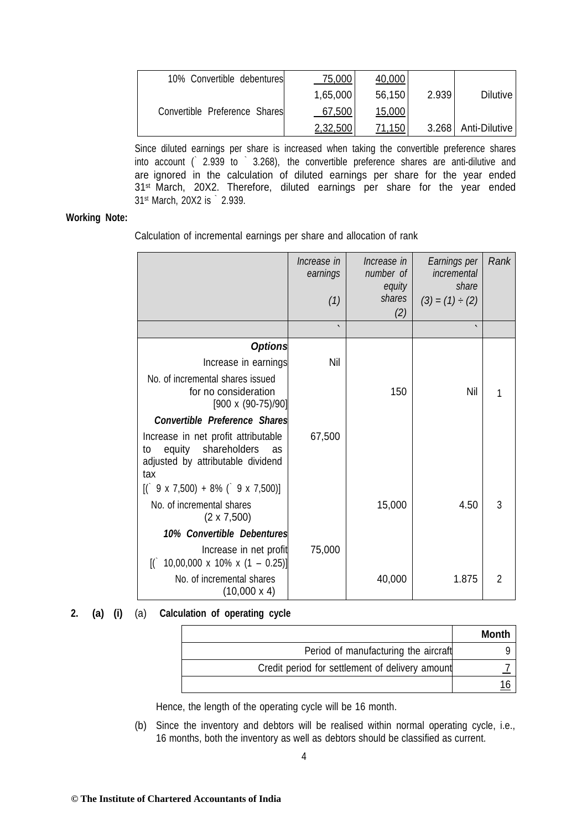| 10% Convertible debentures    | 75,000   | 40,000 |       |                       |
|-------------------------------|----------|--------|-------|-----------------------|
|                               | 1,65,000 | 56,150 | 2.939 | <b>Dilutive</b>       |
| Convertible Preference Shares | 67,500   | 15,000 |       |                       |
|                               | 2,32,500 | 71,150 |       | 3.268   Anti-Dilutive |

Since diluted earnings per share is increased when taking the convertible preference shares into account (` 2.939 to ` 3.268), the convertible preference shares are anti-dilutive and are ignored in the calculation of diluted earnings per share for the year ended 31<sup>st</sup> March, 20X2. Therefore, diluted earnings per share for the year ended 31st March, 20X2 is ` 2.939.

#### **Working Note:**

Calculation of incremental earnings per share and allocation of rank

|                                                                                                                    | Increase in<br>earnings<br>(1)<br>$\cdot$ | Increase in<br>number of<br>equity<br>shares<br>(2) | Earnings per<br>incremental<br>share<br>$(3) = (1) \div (2)$ | Rank           |
|--------------------------------------------------------------------------------------------------------------------|-------------------------------------------|-----------------------------------------------------|--------------------------------------------------------------|----------------|
|                                                                                                                    |                                           |                                                     |                                                              |                |
| <b>Options</b>                                                                                                     |                                           |                                                     |                                                              |                |
| Increase in earnings                                                                                               | Nil                                       |                                                     |                                                              |                |
| No. of incremental shares issued<br>for no consideration<br>$[900 \times (90-75)/90]$                              |                                           | 150                                                 | Nil                                                          |                |
| <b>Convertible Preference Shares</b>                                                                               |                                           |                                                     |                                                              |                |
| Increase in net profit attributable<br>equity shareholders<br>to<br>as<br>adjusted by attributable dividend<br>tax | 67,500                                    |                                                     |                                                              |                |
| $[$ ( $9 \times 7,500$ ) + 8% ( $9 \times 7,500$ )]                                                                |                                           |                                                     |                                                              |                |
| No. of incremental shares<br>$(2 \times 7,500)$                                                                    |                                           | 15,000                                              | 4.50                                                         | 3              |
| 10% Convertible Debentures                                                                                         |                                           |                                                     |                                                              |                |
| Increase in net profit<br>10,00,000 x 10% x $(1 - 0.25)$ ]<br>$\mathbb{I}$ $\mathbb{I}$                            | 75,000                                    |                                                     |                                                              |                |
| No. of incremental shares<br>$(10,000 \times 4)$                                                                   |                                           | 40,000                                              | 1.875                                                        | $\overline{2}$ |

**2. (a) (i)** (a) **Calculation of operating cycle**

|                                                 | Month |
|-------------------------------------------------|-------|
| Period of manufacturing the aircraft            |       |
| Credit period for settlement of delivery amount |       |
|                                                 |       |

Hence, the length of the operating cycle will be 16 month.

(b) Since the inventory and debtors will be realised within normal operating cycle, i.e., 16 months, both the inventory as well as debtors should be classified as current.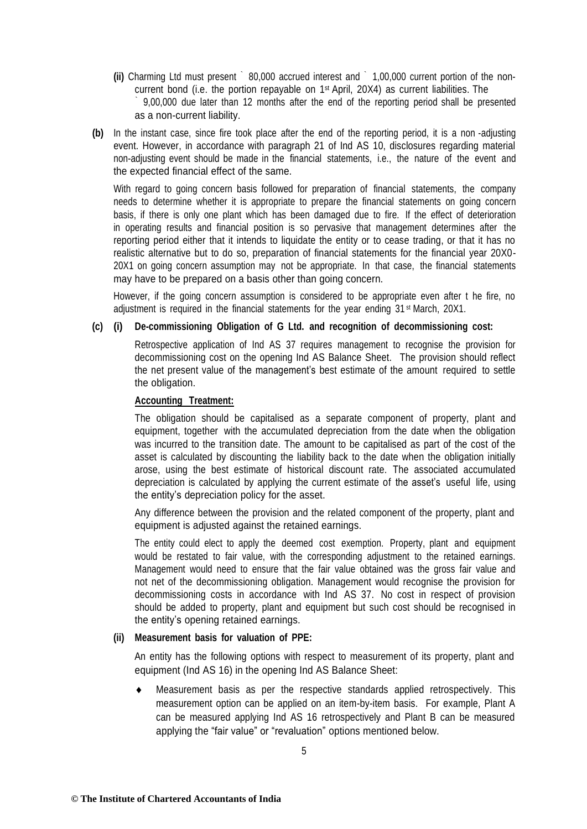- **(ii)** Charming Ltd must present ` 80,000 accrued interest and ` 1,00,000 current portion of the noncurrent bond (i.e. the portion repayable on 1st April, 20X4) as current liabilities. The ` 9,00,000 due later than 12 months after the end of the reporting period shall be presented as a non-current liability.
- **(b)** In the instant case, since fire took place after the end of the reporting period, it is a non -adjusting event. However, in accordance with paragraph 21 of Ind AS 10, disclosures regarding material non-adjusting event should be made in the financial statements, i.e., the nature of the event and the expected financial effect of the same.

With regard to going concern basis followed for preparation of financial statements, the company needs to determine whether it is appropriate to prepare the financial statements on going concern basis, if there is only one plant which has been damaged due to fire. If the effect of deterioration in operating results and financial position is so pervasive that management determines after the reporting period either that it intends to liquidate the entity or to cease trading, or that it has no realistic alternative but to do so, preparation of financial statements for the financial year 20X0- 20X1 on going concern assumption may not be appropriate. In that case, the financial statements may have to be prepared on a basis other than going concern.

However, if the going concern assumption is considered to be appropriate even after t he fire, no adiustment is required in the financial statements for the year ending 31<sup>st</sup> March, 20X1.

#### **(c) (i) De-commissioning Obligation of G Ltd. and recognition of decommissioning cost:**

Retrospective application of Ind AS 37 requires management to recognise the provision for decommissioning cost on the opening Ind AS Balance Sheet. The provision should reflect the net present value of the management's best estimate of the amount required to settle the obligation.

#### **Accounting Treatment:**

The obligation should be capitalised as a separate component of property, plant and equipment, together with the accumulated depreciation from the date when the obligation was incurred to the transition date. The amount to be capitalised as part of the cost of the asset is calculated by discounting the liability back to the date when the obligation initially arose, using the best estimate of historical discount rate. The associated accumulated depreciation is calculated by applying the current estimate of the asset's useful life, using the entity's depreciation policy for the asset.

Any difference between the provision and the related component of the property, plant and equipment is adjusted against the retained earnings.

The entity could elect to apply the deemed cost exemption. Property, plant and equipment would be restated to fair value, with the corresponding adjustment to the retained earnings. Management would need to ensure that the fair value obtained was the gross fair value and not net of the decommissioning obligation. Management would recognise the provision for decommissioning costs in accordance with Ind AS 37. No cost in respect of provision should be added to property, plant and equipment but such cost should be recognised in the entity's opening retained earnings.

#### **(ii) Measurement basis for valuation of PPE:**

An entity has the following options with respect to measurement of its property, plant and equipment (Ind AS 16) in the opening Ind AS Balance Sheet:

 Measurement basis as per the respective standards applied retrospectively. This measurement option can be applied on an item-by-item basis. For example, Plant A can be measured applying Ind AS 16 retrospectively and Plant B can be measured applying the "fair value" or "revaluation" options mentioned below.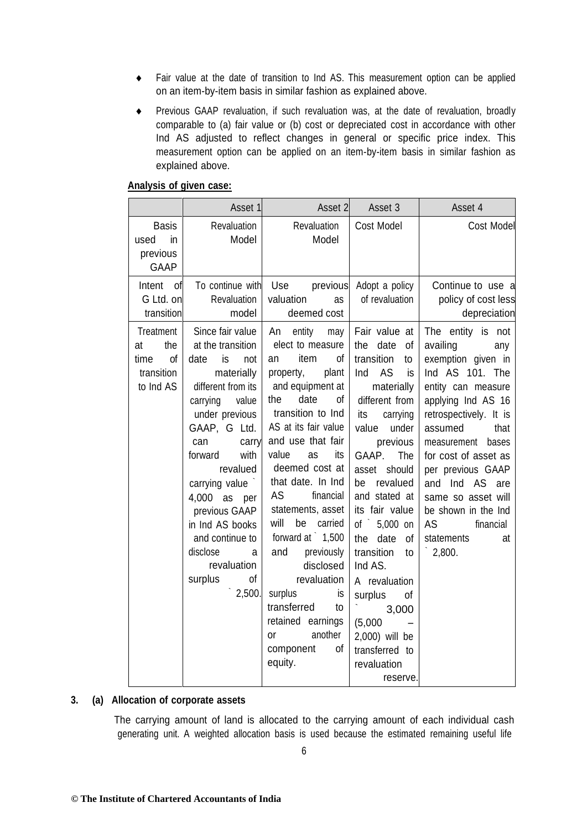- Fair value at the date of transition to Ind AS. This measurement option can be applied on an item-by-item basis in similar fashion as explained above.
- Previous GAAP revaluation, if such revaluation was, at the date of revaluation, broadly comparable to (a) fair value or (b) cost or depreciated cost in accordance with other Ind AS adjusted to reflect changes in general or specific price index. This measurement option can be applied on an item-by-item basis in similar fashion as explained above.

#### **Analysis of given case:**

|                                                                 | Asset 1                                                                                                                                                                                                                                                                                                                                                  | Asset 2                                                                                                                                                                                                                                                                                                                                                                                                                                                                                                                    | Asset 3                                                                                                                                                                                                                                                                                                                                                                                                                              | Asset 4                                                                                                                                                                                                                                                                                                                                                     |
|-----------------------------------------------------------------|----------------------------------------------------------------------------------------------------------------------------------------------------------------------------------------------------------------------------------------------------------------------------------------------------------------------------------------------------------|----------------------------------------------------------------------------------------------------------------------------------------------------------------------------------------------------------------------------------------------------------------------------------------------------------------------------------------------------------------------------------------------------------------------------------------------------------------------------------------------------------------------------|--------------------------------------------------------------------------------------------------------------------------------------------------------------------------------------------------------------------------------------------------------------------------------------------------------------------------------------------------------------------------------------------------------------------------------------|-------------------------------------------------------------------------------------------------------------------------------------------------------------------------------------------------------------------------------------------------------------------------------------------------------------------------------------------------------------|
| <b>Basis</b><br>in<br>used<br>previous<br><b>GAAP</b>           | Revaluation<br>Model                                                                                                                                                                                                                                                                                                                                     | Revaluation<br>Model                                                                                                                                                                                                                                                                                                                                                                                                                                                                                                       | Cost Model                                                                                                                                                                                                                                                                                                                                                                                                                           | Cost Model                                                                                                                                                                                                                                                                                                                                                  |
| Intent<br>of<br>G Ltd. on<br>transition                         | To continue with<br>Revaluation<br>model                                                                                                                                                                                                                                                                                                                 | Use<br>previous<br>valuation<br>as<br>deemed cost                                                                                                                                                                                                                                                                                                                                                                                                                                                                          | Adopt a policy<br>of revaluation                                                                                                                                                                                                                                                                                                                                                                                                     | Continue to use a<br>policy of cost less<br>depreciation                                                                                                                                                                                                                                                                                                    |
| Treatment<br>the<br>at<br>time<br>of<br>transition<br>to Ind AS | Since fair value<br>at the transition<br>is<br>date<br>not<br>materially<br>different from its<br>value<br>carrying<br>under previous<br>GAAP, G Ltd.<br>can<br>carry<br>with<br>forward<br>revalued<br>carrying value<br>4,000 as per<br>previous GAAP<br>in Ind AS books<br>and continue to<br>disclose<br>a<br>revaluation<br>surplus<br>οf<br>2,500. | An<br>entity<br>may<br>elect to measure<br>item<br>of<br>an<br>plant<br>property,<br>and equipment at<br>the<br>date<br>οf<br>transition to Ind<br>AS at its fair value<br>and use that fair<br>value<br>as<br>its<br>deemed cost at<br>that date. In Ind<br><b>AS</b><br>financial<br>statements, asset<br>will<br>carried<br>be<br>forward at $\dot{ }$ 1,500<br>and<br>previously<br>disclosed<br>revaluation<br>surplus<br>İS<br>transferred<br>to<br>retained earnings<br>another<br>or<br>of<br>component<br>equity. | Fair value at<br>date<br>of<br>the<br>transition<br>to<br>AS<br>Ind<br>is<br>materially<br>different from<br>its<br>carrying<br>value<br>under<br>previous<br>GAAP.<br>The<br>asset should<br>be revalued<br>and stated at<br>its fair value<br>of 5,000 on<br>date<br>of<br>the<br>transition<br>to<br>Ind AS.<br>A revaluation<br>surplus<br>of<br>3,000<br>(5,000)<br>2,000) will be<br>transferred to<br>revaluation<br>reserve. | The entity is not<br>availing<br>any<br>exemption given in<br>Ind AS 101. The<br>entity can measure<br>applying Ind AS 16<br>retrospectively. It is<br>assumed<br>that<br>measurement<br>bases<br>for cost of asset as<br>per previous GAAP<br>and Ind AS are<br>same so asset will<br>be shown in the Ind<br>AS<br>financial<br>statements<br>at<br>2,800. |

#### **3. (a) Allocation of corporate assets**

The carrying amount of land is allocated to the carrying amount of each individual cash generating unit. A weighted allocation basis is used because the estimated remaining useful life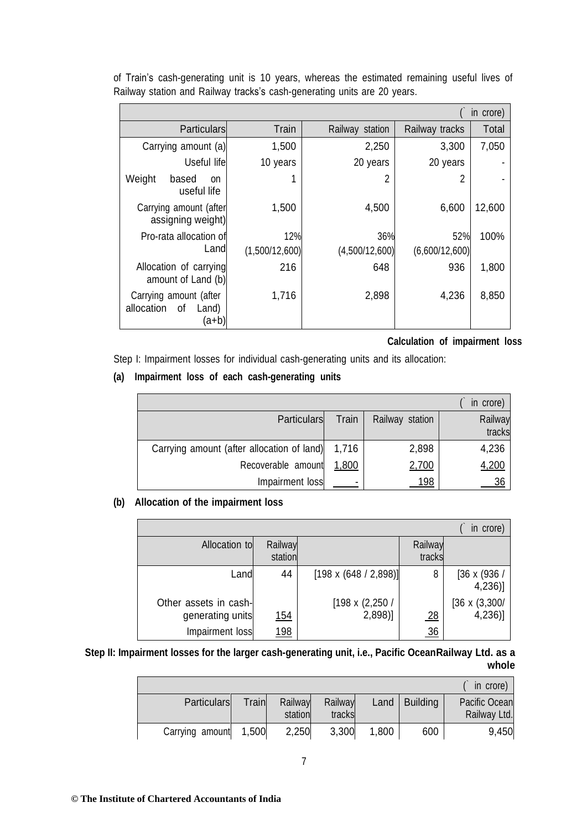| in crore)                                                        |                       |                       |                       |        |  |  |  |
|------------------------------------------------------------------|-----------------------|-----------------------|-----------------------|--------|--|--|--|
| <b>Particulars</b><br>Train<br>Railway station<br>Railway tracks |                       |                       |                       |        |  |  |  |
| Carrying amount (a)                                              | 1,500                 | 2,250                 | 3,300                 | 7,050  |  |  |  |
| Useful life                                                      | 10 years              | 20 years              | 20 years              |        |  |  |  |
| Weight<br>based<br><b>on</b><br>useful life                      |                       | 2                     | 2                     |        |  |  |  |
| Carrying amount (after<br>assigning weight)                      | 1,500                 | 4,500                 | 6,600                 | 12,600 |  |  |  |
| Pro-rata allocation of<br>Land                                   | 12%<br>(1,500/12,600) | 36%<br>(4,500/12,600) | 52%<br>(6,600/12,600) | 100%   |  |  |  |
| Allocation of carrying<br>amount of Land (b)                     | 216                   | 648                   | 936                   | 1,800  |  |  |  |
| Carrying amount (after<br>allocation<br>οf<br>Land)<br>(a+b)     | 1,716                 | 2,898                 | 4,236                 | 8,850  |  |  |  |

of Train's cash-generating unit is 10 years, whereas the estimated remaining useful lives of Railway station and Railway tracks's cash-generating units are 20 years.

**Calculation of impairment loss**

Step I: Impairment losses for individual cash-generating units and its allocation:

## **(a) Impairment loss of each cash-generating units**

|                                            |       |                 | in crore) |
|--------------------------------------------|-------|-----------------|-----------|
| <b>Particulars</b>                         | Train | Railway station | Railway   |
|                                            |       |                 | tracks    |
| Carrying amount (after allocation of land) | 1,716 | 2,898           | 4,236     |
| Recoverable amount                         | 1,800 | 2,700           | 4,200     |
| Impairment loss                            |       | 198             | 36        |

#### **(b) Allocation of the impairment loss**

|                                           |                    |                                    |                   | in crore)                         |
|-------------------------------------------|--------------------|------------------------------------|-------------------|-----------------------------------|
| Allocation to                             | Railway<br>station |                                    | Railway<br>tracks |                                   |
| Landl                                     | 44                 | $[198 \times (648 / 2,898)]$       | 8                 | $[36 \times (936)]$<br>$4,236$ ]  |
| Other assets in cash-<br>generating units | <u> 154</u>        | $[198 \times (2,250)$<br>$2,898$ ] | 28                | $[36 \times (3,300)$<br>$4,236$ ] |
| Impairment loss                           | <u> 198</u>        |                                    | 36                |                                   |

## **Step II: Impairment losses for the larger cash-generating unit, i.e., Pacific OceanRailway Ltd. as a whole**

|                       |       |                    |                   |       |                       | in crore)                            |
|-----------------------|-------|--------------------|-------------------|-------|-----------------------|--------------------------------------|
| <b>Particulars</b>    | Train | Railway<br>station | Railway<br>tracks |       | Land $\vert$ Building | <b>Pacific Ocean</b><br>Railway Ltd. |
| Carrying amount 1,500 |       | 2,250              | 3,300             | 1,800 | 600                   | 9,450                                |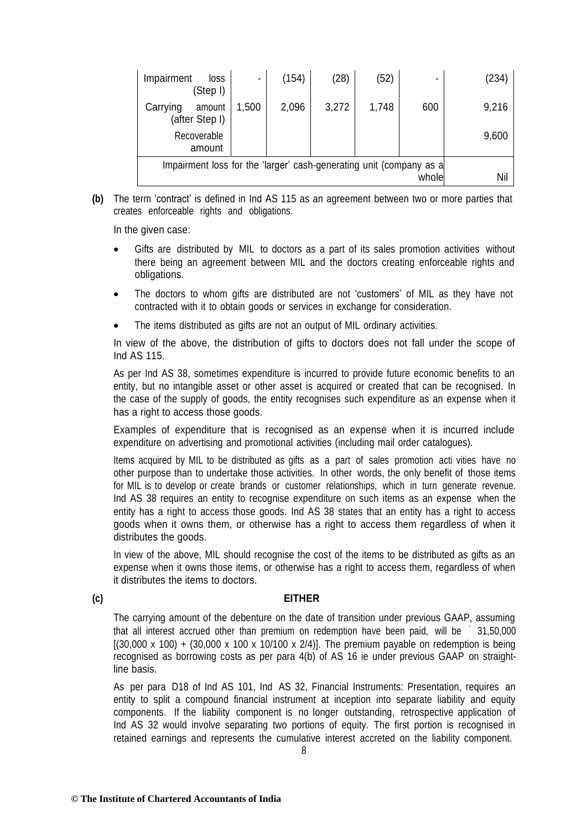| Impairment<br>loss<br>(Step I)                                      | ٠     | (154) | (28)  | (52)  |       | (234) |
|---------------------------------------------------------------------|-------|-------|-------|-------|-------|-------|
| Carrying<br>amount<br>(after Step I)                                | 1,500 | 2,096 | 3,272 | 1,748 | 600   | 9,216 |
| Recoverable<br>amount                                               |       |       |       |       |       | 9,600 |
| Impairment loss for the 'larger' cash-generating unit (company as a |       |       |       |       | whole | Nil   |

**(b)** The term 'contract' is defined in Ind AS 115 as an agreement between two or more parties that creates enforceable rights and obligations.

In the given case:

- Gifts are distributed by MIL to doctors as a part of its sales promotion activities without there being an agreement between MIL and the doctors creating enforceable rights and obligations.
- The doctors to whom gifts are distributed are not 'customers' of MIL as they have not contracted with it to obtain goods or services in exchange for consideration.
- The items distributed as gifts are not an output of MIL ordinary activities.

In view of the above, the distribution of gifts to doctors does not fall under the scope of Ind AS 115.

As per Ind AS 38, sometimes expenditure is incurred to provide future economic benefits to an entity, but no intangible asset or other asset is acquired or created that can be recognised. In the case of the supply of goods, the entity recognises such expenditure as an expense when it has a right to access those goods.

Examples of expenditure that is recognised as an expense when it is incurred include expenditure on advertising and promotional activities (including mail order catalogues).

Items acquired by MIL to be distributed as gifts as a part of sales promotion acti vities have no other purpose than to undertake those activities. In other words, the only benefit of those items for MIL is to develop or create brands or customer relationships, which in turn generate revenue. Ind AS 38 requires an entity to recognise expenditure on such items as an expense when the entity has a right to access those goods. Ind AS 38 states that an entity has a right to access goods when it owns them, or otherwise has a right to access them regardless of when it distributes the goods.

In view of the above, MIL should recognise the cost of the items to be distributed as gifts as an expense when it owns those items, or otherwise has a right to access them, regardless of when it distributes the items to doctors.

#### **(c) EITHER**

The carrying amount of the debenture on the date of transition under previous GAAP, assuming that all interest accrued other than premium on redemption have been paid, will be ` 31,50,000  $[(30,000 \times 100) + (30,000 \times 100 \times 10/100 \times 2/4)]$ . The premium payable on redemption is being recognised as borrowing costs as per para 4(b) of AS 16 ie under previous GAAP on straightline basis.

As per para D18 of Ind AS 101, Ind AS 32, Financial Instruments: Presentation, requires an entity to split a compound financial instrument at inception into separate liability and equity components. If the liability component is no longer outstanding, retrospective application of Ind AS 32 would involve separating two portions of equity. The first portion is recognised in retained earnings and represents the cumulative interest accreted on the liability component.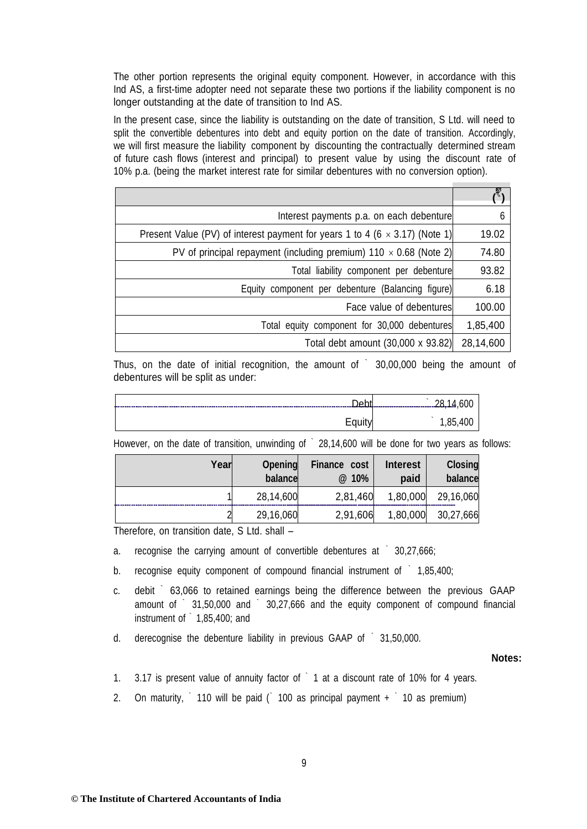The other portion represents the original equity component. However, in accordance with this Ind AS, a first-time adopter need not separate these two portions if the liability component is no longer outstanding at the date of transition to Ind AS.

In the present case, since the liability is outstanding on the date of transition, S Ltd. will need to split the convertible debentures into debt and equity portion on the date of transition. Accordingly, we will first measure the liability component by discounting the contractually determined stream of future cash flows (interest and principal) to present value by using the discount rate of 10% p.a. (being the market interest rate for similar debentures with no conversion option).

| Interest payments p.a. on each debenture                                           | 6         |
|------------------------------------------------------------------------------------|-----------|
| Present Value (PV) of interest payment for years 1 to 4 (6 $\times$ 3.17) (Note 1) | 19.02     |
| PV of principal repayment (including premium) 110 $\times$ 0.68 (Note 2)           | 74.80     |
| Total liability component per debenture                                            | 93.82     |
| Equity component per debenture (Balancing figure)                                  | 6.18      |
| Face value of debentures                                                           | 100.00    |
| Total equity component for 30,000 debentures                                       | 1,85,400  |
| Total debt amount (30,000 x 93.82)                                                 | 28,14,600 |

Thus, on the date of initial recognition, the amount of  $\degree$  30,00,000 being the amount of debentures will be split as under:

| $\sim$<br>. Lake a                         |         |
|--------------------------------------------|---------|
| <b>.</b><br>$\sim$ $\sim$ $\sim$<br>cquity | .85,400 |

| Year | Opening<br>balance | Finance cost<br>@ 10% | <b>Interest</b><br>paid | <b>Closing</b><br>balance |
|------|--------------------|-----------------------|-------------------------|---------------------------|
|      | 28,14,600          | 2,81,460              | 1,80,000                | 29,16,060                 |
|      | 29,16,060          | 2,91,606              | 1,80,000                | 30,27,666                 |

However, on the date of transition, unwinding of 28,14,600 will be done for two years as follows:

Therefore, on transition date, S Ltd. shall –

a. recognise the carrying amount of convertible debentures at ` 30,27,666;

b. recognise equity component of compound financial instrument of ` 1,85,400;

- c. debit ` 63,066 to retained earnings being the difference between the previous GAAP amount of ` 31,50,000 and ` 30,27,666 and the equity component of compound financial instrument of ` 1,85,400; and
- d. derecognise the debenture liability in previous GAAP of ` 31,50,000.

#### **Notes:**

- 1. 3.17 is present value of annuity factor of  $\degree$  1 at a discount rate of 10% for 4 years.
- 2. On maturity,  $\hat{ }$  110 will be paid ( $\hat{ }$  100 as principal payment +  $\hat{ }$  10 as premium)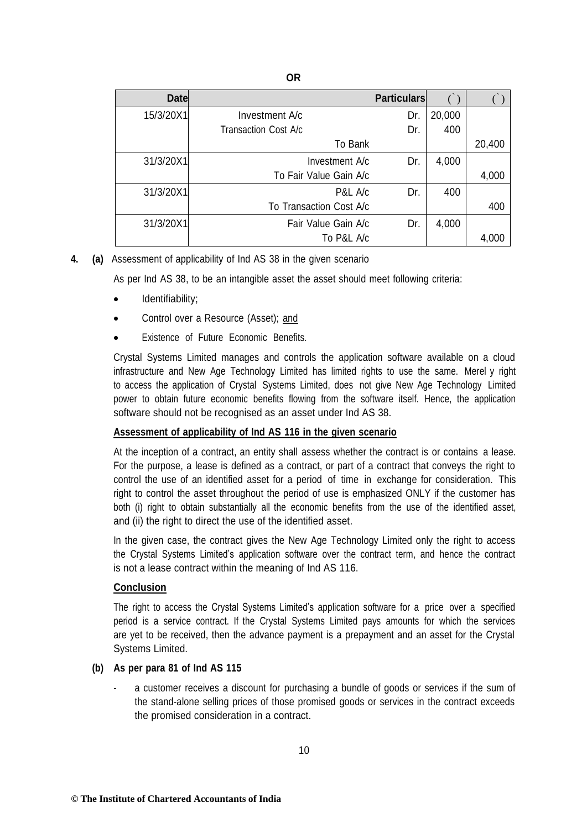| <b>Date</b> |                         | <b>Particulars</b> |        |        |
|-------------|-------------------------|--------------------|--------|--------|
| 15/3/20X1   | Investment A/c          | Dr.                | 20,000 |        |
|             | Transaction Cost A/c    | Dr.                | 400    |        |
|             | To Bank                 |                    |        | 20,400 |
| 31/3/20X1   | Investment A/c          | Dr.                | 4,000  |        |
|             | To Fair Value Gain A/c  |                    |        | 4,000  |
| 31/3/20X1   | P&L A/c                 | Dr.                | 400    |        |
|             | To Transaction Cost A/c |                    |        | 400    |
| 31/3/20X1   | Fair Value Gain A/c     | Dr.                | 4,000  |        |
|             | To P&L A/c              |                    |        | 4,000  |

#### **4. (a)** Assessment of applicability of Ind AS 38 in the given scenario

As per Ind AS 38, to be an intangible asset the asset should meet following criteria:

- Identifiability;
- Control over a Resource (Asset); and
- Existence of Future Economic Benefits.

Crystal Systems Limited manages and controls the application software available on a cloud infrastructure and New Age Technology Limited has limited rights to use the same. Merel y right to access the application of Crystal Systems Limited, does not give New Age Technology Limited power to obtain future economic benefits flowing from the software itself. Hence, the application software should not be recognised as an asset under Ind AS 38.

#### **Assessment of applicability of Ind AS 116 in the given scenario**

At the inception of a contract, an entity shall assess whether the contract is or contains a lease. For the purpose, a lease is defined as a contract, or part of a contract that conveys the right to control the use of an identified asset for a period of time in exchange for consideration. This right to control the asset throughout the period of use is emphasized ONLY if the customer has both (i) right to obtain substantially all the economic benefits from the use of the identified asset, and (ii) the right to direct the use of the identified asset.

In the given case, the contract gives the New Age Technology Limited only the right to access the Crystal Systems Limited's application software over the contract term, and hence the contract is not a lease contract within the meaning of Ind AS 116.

#### **Conclusion**

The right to access the Crystal Systems Limited's application software for a price over a specified period is a service contract. If the Crystal Systems Limited pays amounts for which the services are yet to be received, then the advance payment is a prepayment and an asset for the Crystal Systems Limited.

#### **(b) As per para 81 of Ind AS 115**

a customer receives a discount for purchasing a bundle of goods or services if the sum of the stand-alone selling prices of those promised goods or services in the contract exceeds the promised consideration in a contract.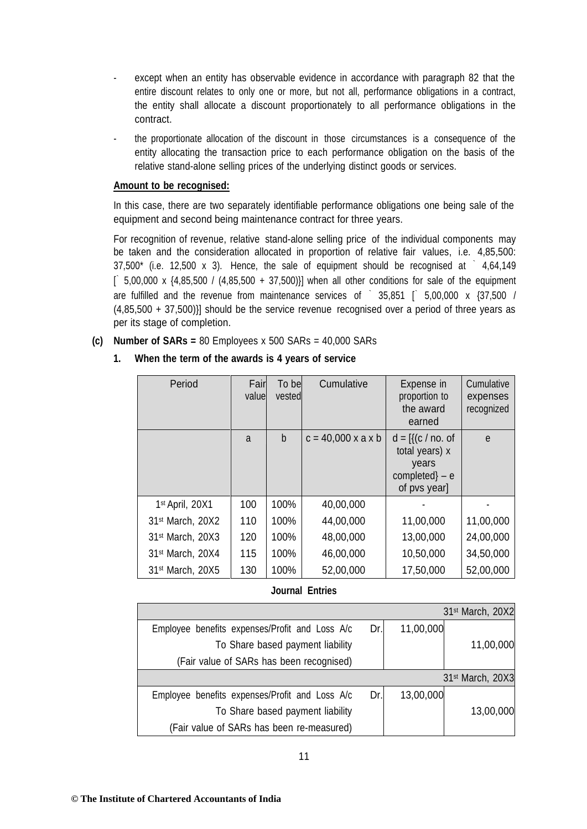- except when an entity has observable evidence in accordance with paragraph 82 that the entire discount relates to only one or more, but not all, performance obligations in a contract, the entity shall allocate a discount proportionately to all performance obligations in the contract.
- the proportionate allocation of the discount in those circumstances is a consequence of the entity allocating the transaction price to each performance obligation on the basis of the relative stand-alone selling prices of the underlying distinct goods or services.

#### **Amount to be recognised:**

In this case, there are two separately identifiable performance obligations one being sale of the equipment and second being maintenance contract for three years.

For recognition of revenue, relative stand-alone selling price of the individual components may be taken and the consideration allocated in proportion of relative fair values, i.e. 4,85,500:  $37,500^*$  (i.e. 12,500 x 3). Hence, the sale of equipment should be recognised at  $\dot{ }$  4,64,149  $[$  5,00,000 x {4,85,500 / (4,85,500 + 37,500)}] when all other conditions for sale of the equipment are fulfilled and the revenue from maintenance services of  $\degree$  35,851  $\degree$  5,00,000 x {37,500 / (4,85,500 + 37,500)}] should be the service revenue recognised over a period of three years as per its stage of completion.

**(c) Number of SARs =** 80 Employees x 500 SARs = 40,000 SARs

#### **1. When the term of the awards is 4 years of service**

| Period                       | Fair<br>value | To be<br>vested | Cumulative                     | Expense in<br>proportion to<br>the award<br>earned                                            | Cumulative<br>expenses<br>recognized |
|------------------------------|---------------|-----------------|--------------------------------|-----------------------------------------------------------------------------------------------|--------------------------------------|
|                              | a             | b               | $c = 40,000 \times a \times b$ | $d = \frac{1}{c}$ (c / no. of<br>total years) x<br>years<br>$completed$ } – e<br>of pvs year] | e                                    |
| 1st April, 20X1              | 100           | 100%            | 40,00,000                      |                                                                                               |                                      |
| 31 <sup>st</sup> March, 20X2 | 110           | 100%            | 44,00,000                      | 11,00,000                                                                                     | 11,00,000                            |
| 31 <sup>st</sup> March, 20X3 | 120           | 100%            | 48,00,000                      | 13,00,000                                                                                     | 24,00,000                            |
| 31 <sup>st</sup> March, 20X4 | 115           | 100%            | 46,00,000                      | 10,50,000                                                                                     | 34,50,000                            |
| 31 <sup>st</sup> March, 20X5 | 130           | 100%            | 52,00,000                      | 17,50,000                                                                                     | 52,00,000                            |

#### **Journal Entries**

|                                                |     |           | 31st March, 20X2             |
|------------------------------------------------|-----|-----------|------------------------------|
| Employee benefits expenses/Profit and Loss A/c | Dr. | 11,00,000 |                              |
| To Share based payment liability               |     |           | 11,00,000                    |
| (Fair value of SARs has been recognised)       |     |           |                              |
|                                                |     |           | 31 <sup>st</sup> March, 20X3 |
|                                                |     |           |                              |
| Employee benefits expenses/Profit and Loss A/c | Dr. | 13,00,000 |                              |
| To Share based payment liability               |     |           | 13,00,000                    |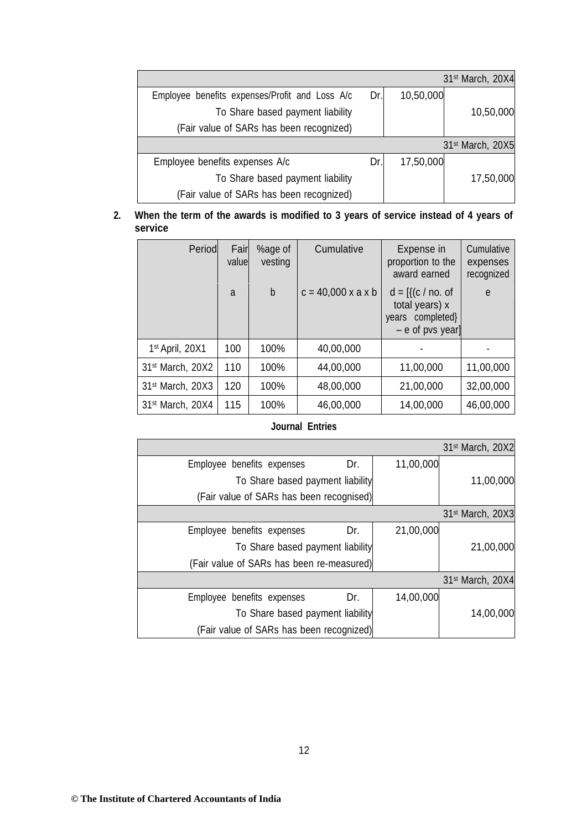|                                                |     |           | 31 <sup>st</sup> March, 20X4 |
|------------------------------------------------|-----|-----------|------------------------------|
| Employee benefits expenses/Profit and Loss A/c | Dr. | 10,50,000 |                              |
| To Share based payment liability               |     |           | 10,50,000                    |
| (Fair value of SARs has been recognized)       |     |           |                              |
|                                                |     |           | 31 <sup>st</sup> March, 20X5 |
| Employee benefits expenses A/c                 | Dr. | 17,50,000 |                              |
| To Share based payment liability               |     |           | 17,50,000                    |
| (Fair value of SARs has been recognized)       |     |           |                              |

## **2. When the term of the awards is modified to 3 years of service instead of 4 years of service**

| Period                       | Fair<br>value | %age of<br>vesting | Cumulative                     | Expense in<br>proportion to the<br>award earned                                           | Cumulative<br>expenses<br>recognized |
|------------------------------|---------------|--------------------|--------------------------------|-------------------------------------------------------------------------------------------|--------------------------------------|
|                              | a             | $\mathsf b$        | $c = 40,000 \times a \times b$ | $d = \frac{1}{c}$ (c / no. of<br>total years) x<br>years completed}<br>$-$ e of pvs year] | e                                    |
| 1 <sup>st</sup> April, 20X1  | 100           | 100%               | 40,00,000                      |                                                                                           |                                      |
| 31st March, 20X2             | 110           | 100%               | 44,00,000                      | 11,00,000                                                                                 | 11,00,000                            |
| 31 <sup>st</sup> March, 20X3 | 120           | 100%               | 48,00,000                      | 21,00,000                                                                                 | 32,00,000                            |
| 31 <sup>st</sup> March, 20X4 | 115           | 100%               | 46,00,000                      | 14,00,000                                                                                 | 46,00,000                            |

# **Journal Entries**

|                                           |     |           | 31 <sup>st</sup> March, 20X2 |
|-------------------------------------------|-----|-----------|------------------------------|
| Employee benefits expenses                | Dr. | 11,00,000 |                              |
| To Share based payment liability          |     |           | 11,00,000                    |
| (Fair value of SARs has been recognised)  |     |           |                              |
|                                           |     |           | 31 <sup>st</sup> March, 20X3 |
| Employee benefits expenses                | Dr. | 21,00,000 |                              |
| To Share based payment liability          |     |           | 21,00,000                    |
| (Fair value of SARs has been re-measured) |     |           |                              |
|                                           |     |           | 31 <sup>st</sup> March, 20X4 |
| Employee benefits expenses                | Dr. | 14,00,000 |                              |
| To Share based payment liability          |     |           | 14,00,000                    |
| (Fair value of SARs has been recognized)  |     |           |                              |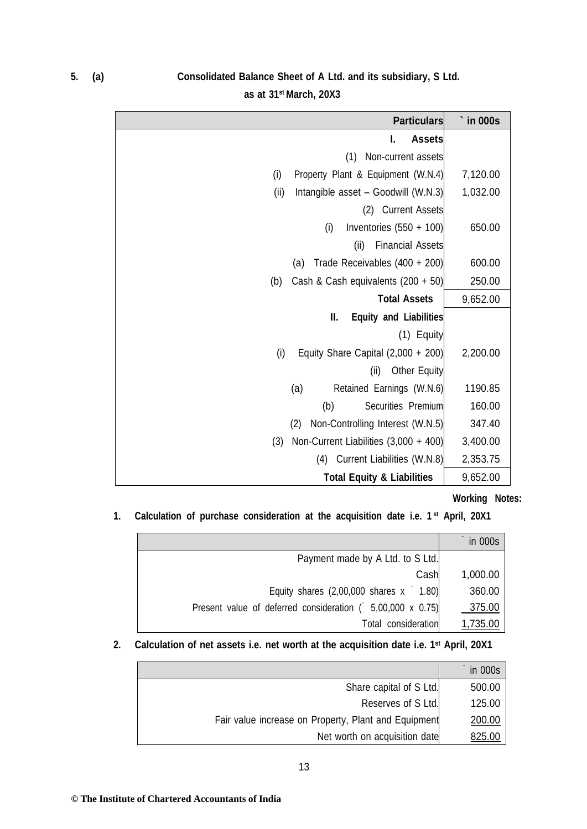# **5. (a) Consolidated Balance Sheet of A Ltd. and its subsidiary, S Ltd.**

**as at 31st March, 20X3**

| <b>Particulars</b>                           | in 000s  |
|----------------------------------------------|----------|
| I.<br><b>Assets</b>                          |          |
| Non-current assets<br>(1)                    |          |
| (i)<br>Property Plant & Equipment (W.N.4)    | 7,120.00 |
| (ii)<br>Intangible asset - Goodwill (W.N.3)  | 1,032.00 |
| (2) Current Assets                           |          |
| (i)<br>Inventories $(550 + 100)$             | 650.00   |
| (ii)<br><b>Financial Assets</b>              |          |
| Trade Receivables (400 + 200)<br>(a)         | 600.00   |
| Cash & Cash equivalents $(200 + 50)$<br>(b)  | 250.00   |
| <b>Total Assets</b>                          | 9,652.00 |
| Ш.<br><b>Equity and Liabilities</b>          |          |
| (1) Equity                                   |          |
| Equity Share Capital $(2,000 + 200)$<br>(i)  | 2,200.00 |
| <b>Other Equity</b><br>(ii)                  |          |
| Retained Earnings (W.N.6)<br>(a)             | 1190.85  |
| Securities Premium<br>(b)                    | 160.00   |
| Non-Controlling Interest (W.N.5)<br>(2)      | 347.40   |
| Non-Current Liabilities (3,000 + 400)<br>(3) | 3,400.00 |
| (4) Current Liabilities (W.N.8)              | 2,353.75 |
| <b>Total Equity &amp; Liabilities</b>        | 9,652.00 |

## **Working Notes:**

**1. Calculation of purchase consideration at the acquisition date i.e. 1 st April, 20X1**

|                                                            | in 000s  |
|------------------------------------------------------------|----------|
| Payment made by A Ltd. to S Ltd.                           |          |
| Cash                                                       | 1,000.00 |
| Equity shares $(2,00,000$ shares $x \t1.80$ )              | 360.00   |
| Present value of deferred consideration ( 5,00,000 x 0.75) | 375.00   |
| Total consideration                                        | 1,735.00 |

**2. Calculation of net assets i.e. net worth at the acquisition date i.e. 1st April, 20X1**

|                                                      | in 000s |
|------------------------------------------------------|---------|
| Share capital of S Ltd.                              | 500.00  |
| Reserves of S Ltd.                                   | 125.00  |
| Fair value increase on Property, Plant and Equipment | 200.00  |
| Net worth on acquisition date                        | 825.00  |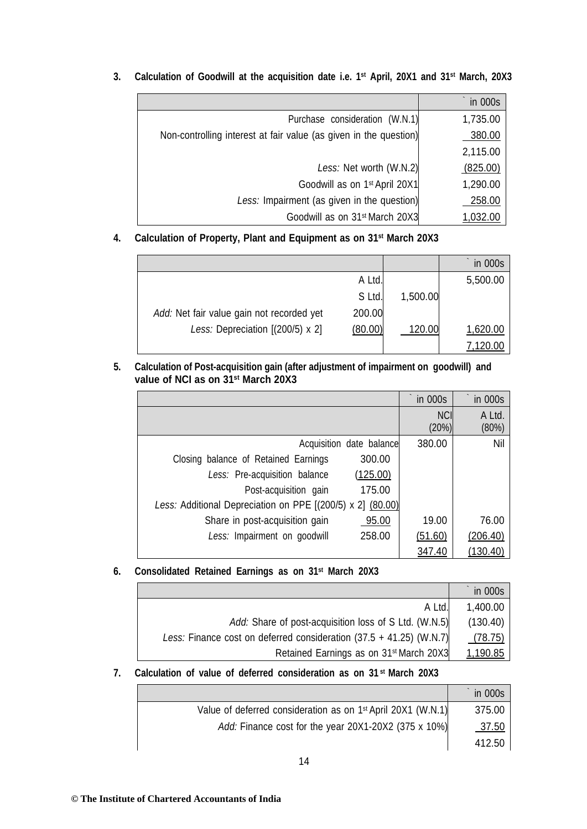|                                                                   | in 000s  |
|-------------------------------------------------------------------|----------|
| Purchase consideration (W.N.1)                                    | 1,735.00 |
| Non-controlling interest at fair value (as given in the question) | 380.00   |
|                                                                   | 2,115.00 |
| Less: Net worth (W.N.2)                                           | (825.00) |
| Goodwill as on 1 <sup>st</sup> April 20X1                         | 1,290.00 |
| Less: Impairment (as given in the question)                       | 258.00   |
| Goodwill as on 31 <sup>st</sup> March 20X3                        | 1,032.00 |

**3. Calculation of Goodwill at the acquisition date i.e. 1st April, 20X1 and 31st March, 20X3**

# **4. Calculation of Property, Plant and Equipment as on 31st March 20X3**

|                                           |         |          | in 000s  |
|-------------------------------------------|---------|----------|----------|
|                                           | A Ltd.  |          | 5,500.00 |
|                                           | S Ltd.  | 1,500.00 |          |
| Add: Net fair value gain not recorded yet | 200.00  |          |          |
| Less: Depreciation $[(200/5) \times 2]$   | (80.00) | 120.00   | 1,620.00 |
|                                           |         |          | 120.00,  |

## **5. Calculation of Post-acquisition gain (after adjustment of impairment on goodwill) and value of NCI as on 31st March 20X3**

|                                                            | in 000s             | in 000s         |
|------------------------------------------------------------|---------------------|-----------------|
|                                                            | <b>NCI</b><br>(20%) | A Ltd.<br>(80%) |
| Acquisition date balance                                   | 380.00              | Nil             |
| 300.00<br>Closing balance of Retained Earnings             |                     |                 |
| Less: Pre-acquisition balance<br>(125.00)                  |                     |                 |
| Post-acquisition gain<br>175.00                            |                     |                 |
| Less: Additional Depreciation on PPE [(200/5) x 2] (80.00) |                     |                 |
| Share in post-acquisition gain<br>95.00                    | 19.00               | 76.00           |
| 258.00<br>Less: Impairment on goodwill                     | (51.60)             | (206.40)        |
|                                                            | 347.40              | (130.40)        |

## **6. Consolidated Retained Earnings as on 31st March 20X3**

|                                                                       | in 000s  |
|-----------------------------------------------------------------------|----------|
| A Ltd.                                                                | 1,400.00 |
| Add: Share of post-acquisition loss of S Ltd. (W.N.5)                 | (130.40) |
| Less: Finance cost on deferred consideration $(37.5 + 41.25)$ (W.N.7) | (78.75)  |
| Retained Earnings as on 31 <sup>st</sup> March 20X3                   | 1,190.85 |

## **7. Calculation of value of deferred consideration as on 31 st March 20X3**

|                                                                          | in 000s      |
|--------------------------------------------------------------------------|--------------|
| Value of deferred consideration as on 1 <sup>st</sup> April 20X1 (W.N.1) | 375.00       |
| Add: Finance cost for the year 20X1-20X2 (375 x 10%)                     | <u>37.50</u> |
|                                                                          | 412.50       |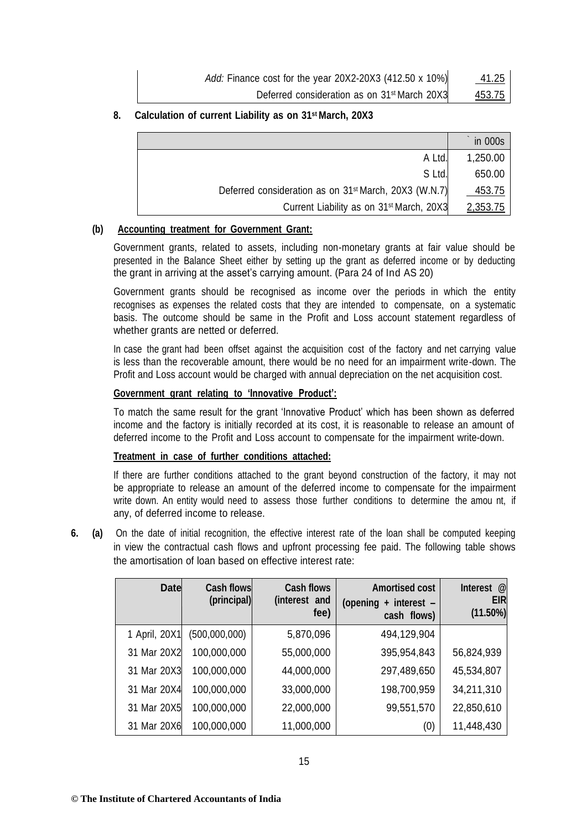| Add: Finance cost for the year 20X2-20X3 (412.50 x 10%)  | 41.25  |
|----------------------------------------------------------|--------|
| Deferred consideration as on 31 <sup>st</sup> March 20X3 | 453.75 |

## **8. Calculation of current Liability as on 31st March, 20X3**

|                                                                   | in 000s       |
|-------------------------------------------------------------------|---------------|
| A Ltd.                                                            | 1,250.00      |
| S Ltd.                                                            | 650.00        |
| Deferred consideration as on 31 <sup>st</sup> March, 20X3 (W.N.7) | <u>453.75</u> |
| Current Liability as on 31 <sup>st</sup> March, 20X3              | 2,353.75      |

#### **(b) Accounting treatment for Government Grant:**

Government grants, related to assets, including non-monetary grants at fair value should be presented in the Balance Sheet either by setting up the grant as deferred income or by deducting the grant in arriving at the asset's carrying amount. (Para 24 of Ind AS 20)

Government grants should be recognised as income over the periods in which the entity recognises as expenses the related costs that they are intended to compensate, on a systematic basis. The outcome should be same in the Profit and Loss account statement regardless of whether grants are netted or deferred.

In case the grant had been offset against the acquisition cost of the factory and net carrying value is less than the recoverable amount, there would be no need for an impairment write-down. The Profit and Loss account would be charged with annual depreciation on the net acquisition cost.

## **Government grant relating to 'Innovative Product':**

To match the same result for the grant 'Innovative Product' which has been shown as deferred income and the factory is initially recorded at its cost, it is reasonable to release an amount of deferred income to the Profit and Loss account to compensate for the impairment write-down.

#### **Treatment in case of further conditions attached:**

If there are further conditions attached to the grant beyond construction of the factory, it may not be appropriate to release an amount of the deferred income to compensate for the impairment write down. An entity would need to assess those further conditions to determine the amou nt, if any, of deferred income to release.

**6. (a)** On the date of initial recognition, the effective interest rate of the loan shall be computed keeping in view the contractual cash flows and upfront processing fee paid. The following table shows the amortisation of loan based on effective interest rate:

| <b>Date</b>   | <b>Cash flows</b><br>(principal) | <b>Cash flows</b><br>(interest and<br>fee) | <b>Amortised cost</b><br>+ interest -<br>(opening<br>cash flows) | @<br>Interest<br><b>EIR</b><br>$(11.50\%)$ |
|---------------|----------------------------------|--------------------------------------------|------------------------------------------------------------------|--------------------------------------------|
| 1 April, 20X1 | (500,000,000)                    | 5,870,096                                  | 494,129,904                                                      |                                            |
| 31 Mar 20X2   | 100,000,000                      | 55,000,000                                 | 395,954,843                                                      | 56,824,939                                 |
| 31 Mar 20X3   | 100,000,000                      | 44,000,000                                 | 297,489,650                                                      | 45,534,807                                 |
| 31 Mar 20X4   | 100,000,000                      | 33,000,000                                 | 198,700,959                                                      | 34,211,310                                 |
| 31 Mar 20X5   | 100,000,000                      | 22,000,000                                 | 99,551,570                                                       | 22,850,610                                 |
| 31 Mar 20X6   | 100,000,000                      | 11,000,000                                 | (0)                                                              | 11,448,430                                 |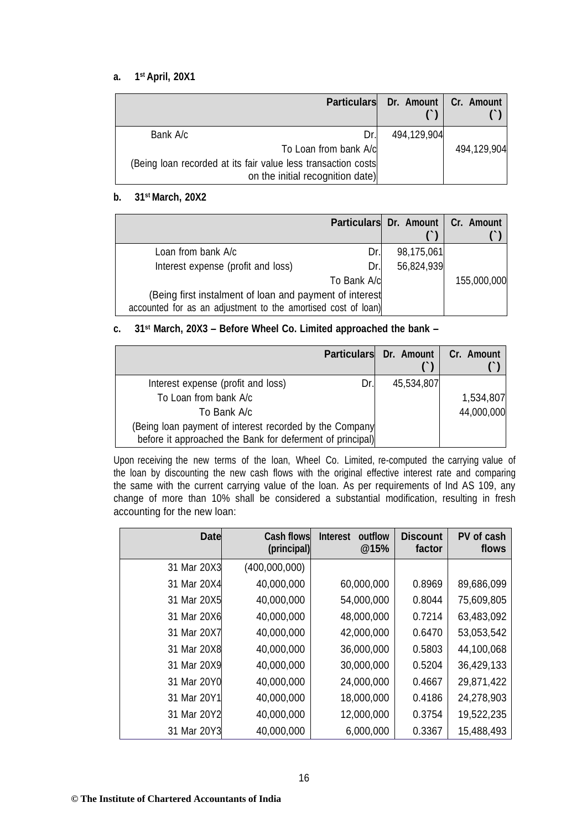#### **a. 1st April, 20X1**

|                                                                                                   | <b>Particulars</b> | Dr. Amount   Cr. Amount |             |
|---------------------------------------------------------------------------------------------------|--------------------|-------------------------|-------------|
| Bank A/c                                                                                          | Dr.                | 494,129,904             |             |
| To Loan from bank A/c                                                                             |                    |                         | 494,129,904 |
| (Being loan recorded at its fair value less transaction costs<br>on the initial recognition date) |                    |                         |             |

#### **b. 31st March, 20X2**

|                                                                                                                          |             | Particulars Dr. Amount   Cr. Amount |             |
|--------------------------------------------------------------------------------------------------------------------------|-------------|-------------------------------------|-------------|
| Loan from bank A/c                                                                                                       | Dr.         | 98,175,061                          |             |
| Interest expense (profit and loss)                                                                                       | Dr.         | 56,824,939                          |             |
|                                                                                                                          | To Bank A/c |                                     | 155,000,000 |
| (Being first instalment of loan and payment of interest<br>accounted for as an adjustment to the amortised cost of loan) |             |                                     |             |

## **c. 31st March, 20X3 – Before Wheel Co. Limited approached the bank –**

|                                                                                                                      | Particulars Dr. Amount | Cr. Amount |
|----------------------------------------------------------------------------------------------------------------------|------------------------|------------|
| Interest expense (profit and loss)<br>Dr.                                                                            | 45,534,807             |            |
| To Loan from bank A/c                                                                                                |                        | 1,534,807  |
| To Bank A/c                                                                                                          |                        | 44,000,000 |
| (Being loan payment of interest recorded by the Company<br>before it approached the Bank for deferment of principal) |                        |            |

Upon receiving the new terms of the loan, Wheel Co. Limited, re-computed the carrying value of the loan by discounting the new cash flows with the original effective interest rate and comparing the same with the current carrying value of the loan. As per requirements of Ind AS 109, any change of more than 10% shall be considered a substantial modification, resulting in fresh accounting for the new loan:

| <b>Date</b> | <b>Cash flows</b><br>(principal) | outflow<br><b>Interest</b><br>@15% | <b>Discount</b><br>factor | PV of cash<br>flows |
|-------------|----------------------------------|------------------------------------|---------------------------|---------------------|
| 31 Mar 20X3 | (400,000,000)                    |                                    |                           |                     |
| 31 Mar 20X4 | 40,000,000                       | 60,000,000                         | 0.8969                    | 89,686,099          |
| 31 Mar 20X5 | 40,000,000                       | 54,000,000                         | 0.8044                    | 75,609,805          |
| 31 Mar 20X6 | 40,000,000                       | 48,000,000                         | 0.7214                    | 63,483,092          |
| 31 Mar 20X7 | 40,000,000                       | 42,000,000                         | 0.6470                    | 53,053,542          |
| 31 Mar 20X8 | 40,000,000                       | 36,000,000                         | 0.5803                    | 44,100,068          |
| 31 Mar 20X9 | 40,000,000                       | 30,000,000                         | 0.5204                    | 36,429,133          |
| 31 Mar 20Y0 | 40,000,000                       | 24,000,000                         | 0.4667                    | 29,871,422          |
| 31 Mar 20Y1 | 40,000,000                       | 18,000,000                         | 0.4186                    | 24,278,903          |
| 31 Mar 20Y2 | 40,000,000                       | 12,000,000                         | 0.3754                    | 19,522,235          |
| 31 Mar 20Y3 | 40,000,000                       | 6,000,000                          | 0.3367                    | 15,488,493          |